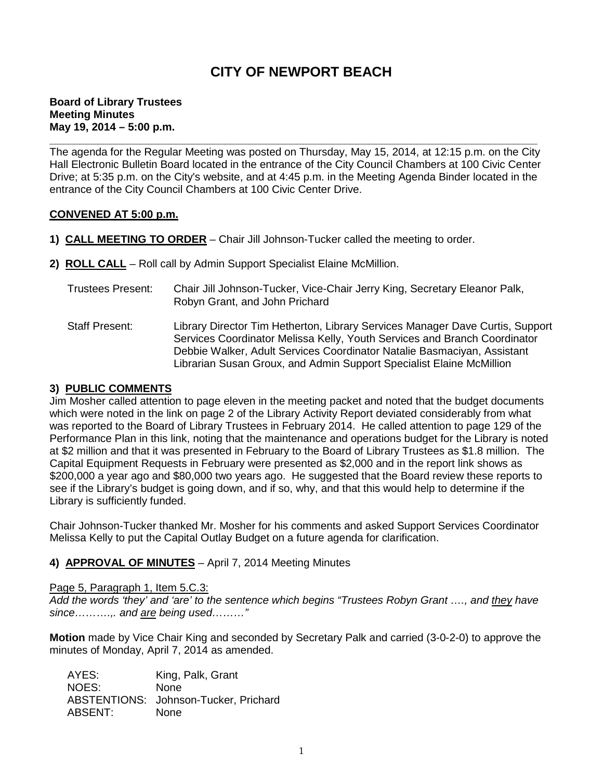# **CITY OF NEWPORT BEACH**

#### **Board of Library Trustees Meeting Minutes May 19, 2014 – 5:00 p.m.**

**\_\_\_\_\_\_\_\_\_\_\_\_\_\_\_\_\_\_\_\_\_\_\_\_\_\_\_\_\_\_\_\_\_\_\_\_\_\_\_\_\_\_\_\_\_\_\_\_\_\_\_\_\_\_\_\_\_\_\_\_\_\_\_\_\_\_\_\_\_\_\_\_\_\_\_\_\_\_\_\_\_** The agenda for the Regular Meeting was posted on Thursday, May 15, 2014, at 12:15 p.m. on the City Hall Electronic Bulletin Board located in the entrance of the City Council Chambers at 100 Civic Center Drive; at 5:35 p.m. on the City's website, and at 4:45 p.m. in the Meeting Agenda Binder located in the entrance of the City Council Chambers at 100 Civic Center Drive.

#### **CONVENED AT 5:00 p.m.**

- **1) CALL MEETING TO ORDER** Chair Jill Johnson-Tucker called the meeting to order.
- **2) ROLL CALL** Roll call by Admin Support Specialist Elaine McMillion.
	- Trustees Present: Chair Jill Johnson-Tucker, Vice-Chair Jerry King, Secretary Eleanor Palk, Robyn Grant, and John Prichard
	- Staff Present: Library Director Tim Hetherton, Library Services Manager Dave Curtis, Support Services Coordinator Melissa Kelly, Youth Services and Branch Coordinator Debbie Walker, Adult Services Coordinator Natalie Basmaciyan, Assistant Librarian Susan Groux, and Admin Support Specialist Elaine McMillion

#### **3) PUBLIC COMMENTS**

Jim Mosher called attention to page eleven in the meeting packet and noted that the budget documents which were noted in the link on page 2 of the Library Activity Report deviated considerably from what was reported to the Board of Library Trustees in February 2014. He called attention to page 129 of the Performance Plan in this link, noting that the maintenance and operations budget for the Library is noted at \$2 million and that it was presented in February to the Board of Library Trustees as \$1.8 million. The Capital Equipment Requests in February were presented as \$2,000 and in the report link shows as \$200,000 a year ago and \$80,000 two years ago. He suggested that the Board review these reports to see if the Library's budget is going down, and if so, why, and that this would help to determine if the Library is sufficiently funded.

Chair Johnson-Tucker thanked Mr. Mosher for his comments and asked Support Services Coordinator Melissa Kelly to put the Capital Outlay Budget on a future agenda for clarification.

## **4) APPROVAL OF MINUTES** – April 7, 2014 Meeting Minutes

#### Page 5, Paragraph 1, Item 5.C.3:

*Add the words 'they' and 'are' to the sentence which begins "Trustees Robyn Grant …., and they have since……….,. and are being used………"*

**Motion** made by Vice Chair King and seconded by Secretary Palk and carried (3-0-2-0) to approve the minutes of Monday, April 7, 2014 as amended.

AYES: King, Palk, Grant NOES: None ABSTENTIONS: Johnson-Tucker, Prichard ABSENT: None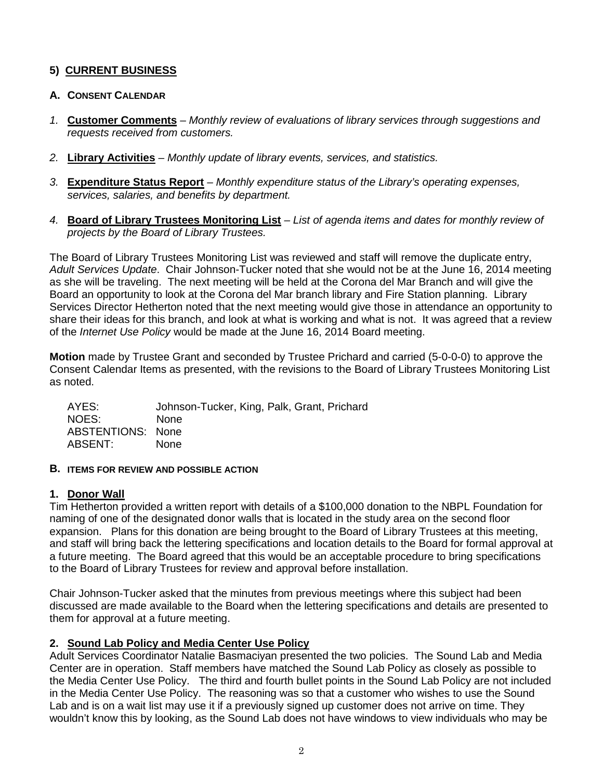# **5) CURRENT BUSINESS**

## **A. CONSENT CALENDAR**

- *1.* **Customer Comments** *Monthly review of evaluations of library services through suggestions and requests received from customers.*
- *2.* **Library Activities** *– Monthly update of library events, services, and statistics.*
- *3.* **Expenditure Status Report** *– Monthly expenditure status of the Library's operating expenses, services, salaries, and benefits by department.*
- *4.* **Board of Library Trustees Monitoring List** *– List of agenda items and dates for monthly review of projects by the Board of Library Trustees.*

The Board of Library Trustees Monitoring List was reviewed and staff will remove the duplicate entry, *Adult Services Update*. Chair Johnson-Tucker noted that she would not be at the June 16, 2014 meeting as she will be traveling. The next meeting will be held at the Corona del Mar Branch and will give the Board an opportunity to look at the Corona del Mar branch library and Fire Station planning. Library Services Director Hetherton noted that the next meeting would give those in attendance an opportunity to share their ideas for this branch, and look at what is working and what is not. It was agreed that a review of the *Internet Use Policy* would be made at the June 16, 2014 Board meeting.

**Motion** made by Trustee Grant and seconded by Trustee Prichard and carried (5-0-0-0) to approve the Consent Calendar Items as presented, with the revisions to the Board of Library Trustees Monitoring List as noted.

AYES: Johnson-Tucker, King, Palk, Grant, Prichard NOES: None ABSTENTIONS: None<br>ABSENT: None  $ABSENT$ 

## **B. ITEMS FOR REVIEW AND POSSIBLE ACTION**

## **1. Donor Wall**

Tim Hetherton provided a written report with details of a \$100,000 donation to the NBPL Foundation for naming of one of the designated donor walls that is located in the study area on the second floor expansion. Plans for this donation are being brought to the Board of Library Trustees at this meeting, and staff will bring back the lettering specifications and location details to the Board for formal approval at a future meeting. The Board agreed that this would be an acceptable procedure to bring specifications to the Board of Library Trustees for review and approval before installation.

Chair Johnson-Tucker asked that the minutes from previous meetings where this subject had been discussed are made available to the Board when the lettering specifications and details are presented to them for approval at a future meeting.

# **2. Sound Lab Policy and Media Center Use Policy**

Adult Services Coordinator Natalie Basmaciyan presented the two policies. The Sound Lab and Media Center are in operation. Staff members have matched the Sound Lab Policy as closely as possible to the Media Center Use Policy. The third and fourth bullet points in the Sound Lab Policy are not included in the Media Center Use Policy. The reasoning was so that a customer who wishes to use the Sound Lab and is on a wait list may use it if a previously signed up customer does not arrive on time. They wouldn't know this by looking, as the Sound Lab does not have windows to view individuals who may be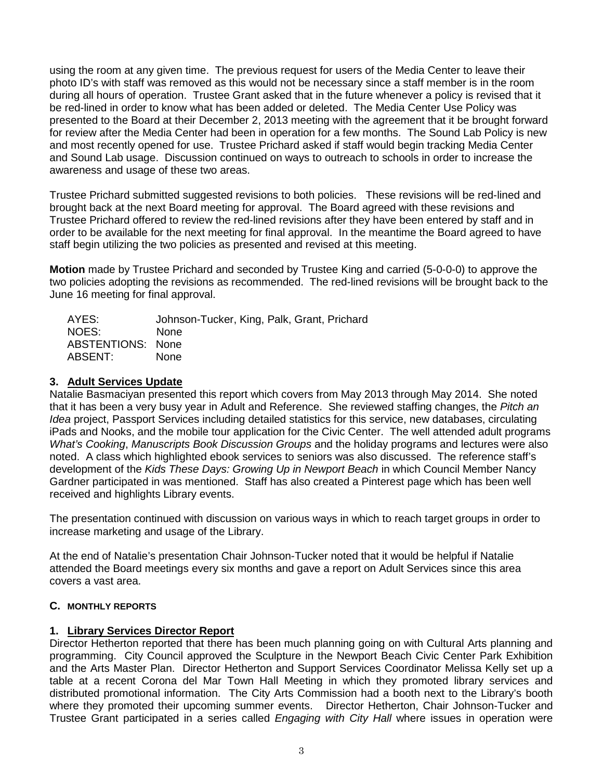using the room at any given time. The previous request for users of the Media Center to leave their photo ID's with staff was removed as this would not be necessary since a staff member is in the room during all hours of operation. Trustee Grant asked that in the future whenever a policy is revised that it be red-lined in order to know what has been added or deleted. The Media Center Use Policy was presented to the Board at their December 2, 2013 meeting with the agreement that it be brought forward for review after the Media Center had been in operation for a few months. The Sound Lab Policy is new and most recently opened for use. Trustee Prichard asked if staff would begin tracking Media Center and Sound Lab usage. Discussion continued on ways to outreach to schools in order to increase the awareness and usage of these two areas.

Trustee Prichard submitted suggested revisions to both policies. These revisions will be red-lined and brought back at the next Board meeting for approval. The Board agreed with these revisions and Trustee Prichard offered to review the red-lined revisions after they have been entered by staff and in order to be available for the next meeting for final approval. In the meantime the Board agreed to have staff begin utilizing the two policies as presented and revised at this meeting.

**Motion** made by Trustee Prichard and seconded by Trustee King and carried (5-0-0-0) to approve the two policies adopting the revisions as recommended. The red-lined revisions will be brought back to the June 16 meeting for final approval.

| AYES:                    | Johnson-Tucker, King, Palk, Grant, Prichard |
|--------------------------|---------------------------------------------|
| NOES:                    | <b>None</b>                                 |
| <b>ABSTENTIONS: None</b> |                                             |
| ABSENT:                  | <b>None</b>                                 |

## **3. Adult Services Update**

Natalie Basmaciyan presented this report which covers from May 2013 through May 2014. She noted that it has been a very busy year in Adult and Reference. She reviewed staffing changes, the *Pitch an Idea* project, Passport Services including detailed statistics for this service, new databases, circulating iPads and Nooks, and the mobile tour application for the Civic Center. The well attended adult programs *What's Cooking*, *Manuscripts Book Discussion Groups* and the holiday programs and lectures were also noted. A class which highlighted ebook services to seniors was also discussed. The reference staff's development of the *Kids These Days: Growing Up in Newport Beach* in which Council Member Nancy Gardner participated in was mentioned. Staff has also created a Pinterest page which has been well received and highlights Library events.

The presentation continued with discussion on various ways in which to reach target groups in order to increase marketing and usage of the Library.

At the end of Natalie's presentation Chair Johnson-Tucker noted that it would be helpful if Natalie attended the Board meetings every six months and gave a report on Adult Services since this area covers a vast area.

## **C. MONTHLY REPORTS**

## **1. Library Services Director Report**

Director Hetherton reported that there has been much planning going on with Cultural Arts planning and programming. City Council approved the Sculpture in the Newport Beach Civic Center Park Exhibition and the Arts Master Plan. Director Hetherton and Support Services Coordinator Melissa Kelly set up a table at a recent Corona del Mar Town Hall Meeting in which they promoted library services and distributed promotional information. The City Arts Commission had a booth next to the Library's booth where they promoted their upcoming summer events. Director Hetherton, Chair Johnson-Tucker and Trustee Grant participated in a series called *Engaging with City Hall* where issues in operation were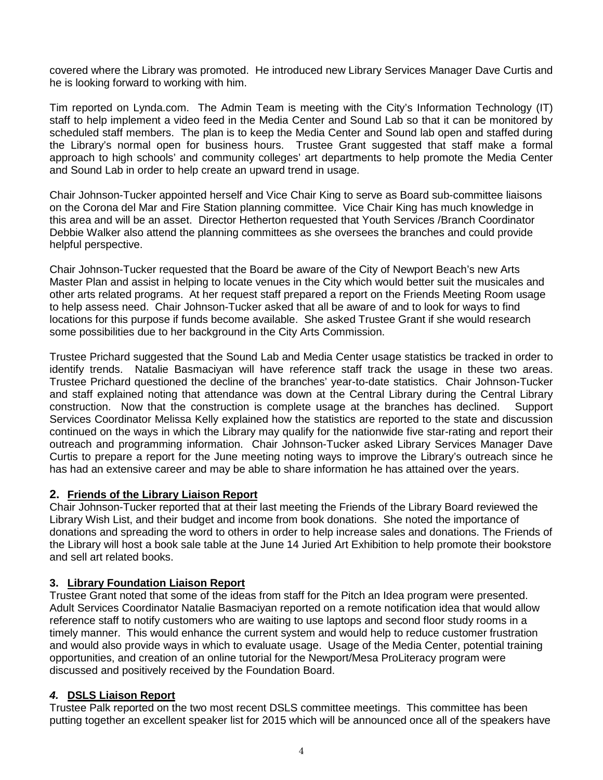covered where the Library was promoted. He introduced new Library Services Manager Dave Curtis and he is looking forward to working with him.

Tim reported on Lynda.com. The Admin Team is meeting with the City's Information Technology (IT) staff to help implement a video feed in the Media Center and Sound Lab so that it can be monitored by scheduled staff members. The plan is to keep the Media Center and Sound lab open and staffed during the Library's normal open for business hours. Trustee Grant suggested that staff make a formal approach to high schools' and community colleges' art departments to help promote the Media Center and Sound Lab in order to help create an upward trend in usage.

Chair Johnson-Tucker appointed herself and Vice Chair King to serve as Board sub-committee liaisons on the Corona del Mar and Fire Station planning committee. Vice Chair King has much knowledge in this area and will be an asset. Director Hetherton requested that Youth Services /Branch Coordinator Debbie Walker also attend the planning committees as she oversees the branches and could provide helpful perspective.

Chair Johnson-Tucker requested that the Board be aware of the City of Newport Beach's new Arts Master Plan and assist in helping to locate venues in the City which would better suit the musicales and other arts related programs. At her request staff prepared a report on the Friends Meeting Room usage to help assess need. Chair Johnson-Tucker asked that all be aware of and to look for ways to find locations for this purpose if funds become available. She asked Trustee Grant if she would research some possibilities due to her background in the City Arts Commission.

Trustee Prichard suggested that the Sound Lab and Media Center usage statistics be tracked in order to identify trends. Natalie Basmaciyan will have reference staff track the usage in these two areas. Trustee Prichard questioned the decline of the branches' year-to-date statistics. Chair Johnson-Tucker and staff explained noting that attendance was down at the Central Library during the Central Library construction. Now that the construction is complete usage at the branches has declined. Support Services Coordinator Melissa Kelly explained how the statistics are reported to the state and discussion continued on the ways in which the Library may qualify for the nationwide five star-rating and report their outreach and programming information. Chair Johnson-Tucker asked Library Services Manager Dave Curtis to prepare a report for the June meeting noting ways to improve the Library's outreach since he has had an extensive career and may be able to share information he has attained over the years.

## **2. Friends of the Library Liaison Report**

Chair Johnson-Tucker reported that at their last meeting the Friends of the Library Board reviewed the Library Wish List, and their budget and income from book donations. She noted the importance of donations and spreading the word to others in order to help increase sales and donations. The Friends of the Library will host a book sale table at the June 14 Juried Art Exhibition to help promote their bookstore and sell art related books.

## **3. Library Foundation Liaison Report**

Trustee Grant noted that some of the ideas from staff for the Pitch an Idea program were presented. Adult Services Coordinator Natalie Basmaciyan reported on a remote notification idea that would allow reference staff to notify customers who are waiting to use laptops and second floor study rooms in a timely manner. This would enhance the current system and would help to reduce customer frustration and would also provide ways in which to evaluate usage. Usage of the Media Center, potential training opportunities, and creation of an online tutorial for the Newport/Mesa ProLiteracy program were discussed and positively received by the Foundation Board.

## *4.* **DSLS Liaison Report**

Trustee Palk reported on the two most recent DSLS committee meetings. This committee has been putting together an excellent speaker list for 2015 which will be announced once all of the speakers have